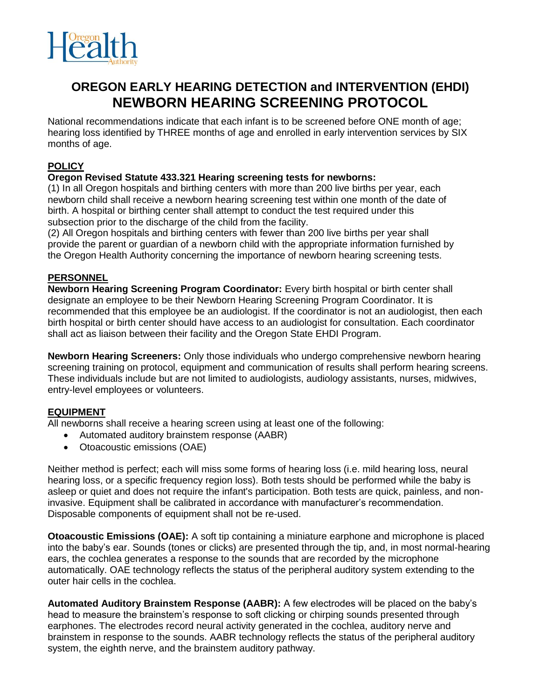

# **OREGON EARLY HEARING DETECTION and INTERVENTION (EHDI) NEWBORN HEARING SCREENING PROTOCOL**

National recommendations indicate that each infant is to be screened before ONE month of age; hearing loss identified by THREE months of age and enrolled in early intervention services by SIX months of age.

# **POLICY**

## **Oregon Revised Statute 433.321 Hearing screening tests for newborns:**

(1) In all Oregon hospitals and birthing centers with more than 200 live births per year, each newborn child shall receive a newborn hearing screening test within one month of the date of birth. A hospital or birthing center shall attempt to conduct the test required under this subsection prior to the discharge of the child from the facility.

(2) All Oregon hospitals and birthing centers with fewer than 200 live births per year shall provide the parent or guardian of a newborn child with the appropriate information furnished by the Oregon Health Authority concerning the importance of newborn hearing screening tests.

## **PERSONNEL**

**Newborn Hearing Screening Program Coordinator:** Every birth hospital or birth center shall designate an employee to be their Newborn Hearing Screening Program Coordinator. It is recommended that this employee be an audiologist. If the coordinator is not an audiologist, then each birth hospital or birth center should have access to an audiologist for consultation. Each coordinator shall act as liaison between their facility and the Oregon State EHDI Program.

**Newborn Hearing Screeners:** Only those individuals who undergo comprehensive newborn hearing screening training on protocol, equipment and communication of results shall perform hearing screens. These individuals include but are not limited to audiologists, audiology assistants, nurses, midwives, entry-level employees or volunteers.

# **EQUIPMENT**

All newborns shall receive a hearing screen using at least one of the following:

- Automated auditory brainstem response (AABR)
- Otoacoustic emissions (OAE)

Neither method is perfect; each will miss some forms of hearing loss (i.e. mild hearing loss, neural hearing loss, or a specific frequency region loss). Both tests should be performed while the baby is asleep or quiet and does not require the infant's participation. Both tests are quick, painless, and noninvasive. Equipment shall be calibrated in accordance with manufacturer's recommendation. Disposable components of equipment shall not be re-used.

**Otoacoustic Emissions (OAE):** A soft tip containing a miniature earphone and microphone is placed into the baby's ear. Sounds (tones or clicks) are presented through the tip, and, in most normal-hearing ears, the cochlea generates a response to the sounds that are recorded by the microphone automatically. OAE technology reflects the status of the peripheral auditory system extending to the outer hair cells in the cochlea.

**Automated Auditory Brainstem Response (AABR):** A few electrodes will be placed on the baby's head to measure the brainstem's response to soft clicking or chirping sounds presented through earphones. The electrodes record neural activity generated in the cochlea, auditory nerve and brainstem in response to the sounds. AABR technology reflects the status of the peripheral auditory system, the eighth nerve, and the brainstem auditory pathway.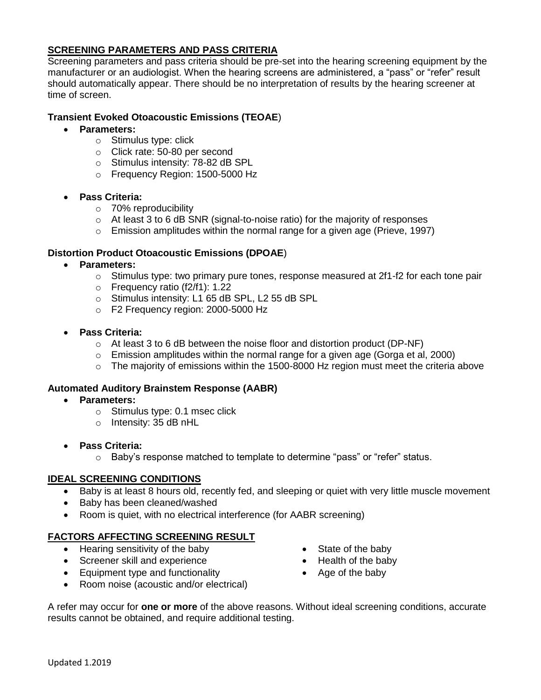## **SCREENING PARAMETERS AND PASS CRITERIA**

Screening parameters and pass criteria should be pre-set into the hearing screening equipment by the manufacturer or an audiologist. When the hearing screens are administered, a "pass" or "refer" result should automatically appear. There should be no interpretation of results by the hearing screener at time of screen.

## **Transient Evoked Otoacoustic Emissions (TEOAE**)

- **Parameters:** 
	- o Stimulus type: click
	- o Click rate: 50-80 per second
	- o Stimulus intensity: 78-82 dB SPL
	- o Frequency Region: 1500-5000 Hz
- **Pass Criteria:**
	- o 70% reproducibility
	- o At least 3 to 6 dB SNR (signal-to-noise ratio) for the majority of responses
	- $\circ$  Emission amplitudes within the normal range for a given age (Prieve, 1997)

# **Distortion Product Otoacoustic Emissions (DPOAE**)

- **Parameters:**
	- $\circ$  Stimulus type: two primary pure tones, response measured at 2f1-f2 for each tone pair
	- o Frequency ratio (f2/f1): 1.22
	- o Stimulus intensity: L1 65 dB SPL, L2 55 dB SPL
	- o F2 Frequency region: 2000-5000 Hz
- **Pass Criteria:**
	- $\circ$  At least 3 to 6 dB between the noise floor and distortion product (DP-NF)
	- o Emission amplitudes within the normal range for a given age (Gorga et al, 2000)
	- o The majority of emissions within the 1500-8000 Hz region must meet the criteria above

## **Automated Auditory Brainstem Response (AABR)**

- **Parameters:** 
	- o Stimulus type: 0.1 msec click
	- o Intensity: 35 dB nHL
- **Pass Criteria:** 
	- o Baby's response matched to template to determine "pass" or "refer" status.

## **IDEAL SCREENING CONDITIONS**

- Baby is at least 8 hours old, recently fed, and sleeping or quiet with very little muscle movement
- Baby has been cleaned/washed
- Room is quiet, with no electrical interference (for AABR screening)

## **FACTORS AFFECTING SCREENING RESULT**

- Hearing sensitivity of the baby
- Screener skill and experience
- Equipment type and functionality
- Room noise (acoustic and/or electrical)
- State of the baby
- Health of the baby
- Age of the baby

A refer may occur for **one or more** of the above reasons. Without ideal screening conditions, accurate results cannot be obtained, and require additional testing.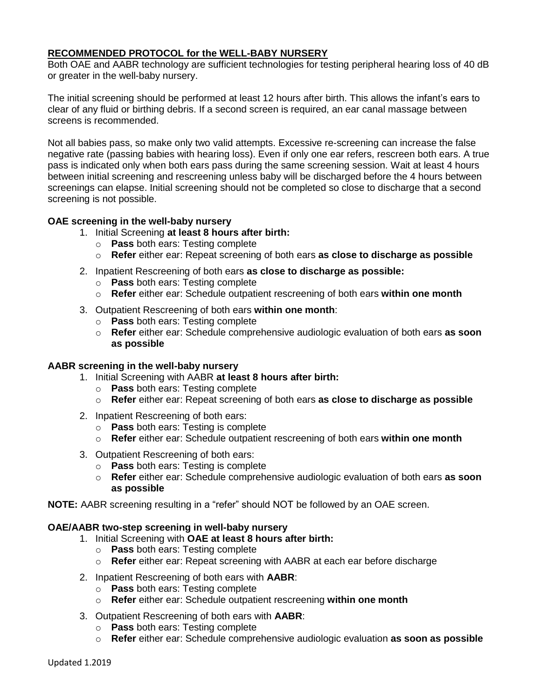## **RECOMMENDED PROTOCOL for the WELL-BABY NURSERY**

Both OAE and AABR technology are sufficient technologies for testing peripheral hearing loss of 40 dB or greater in the well-baby nursery.

The initial screening should be performed at least 12 hours after birth. This allows the infant's ears to clear of any fluid or birthing debris. If a second screen is required, an ear canal massage between screens is recommended.

Not all babies pass, so make only two valid attempts. Excessive re-screening can increase the false negative rate (passing babies with hearing loss). Even if only one ear refers, rescreen both ears. A true pass is indicated only when both ears pass during the same screening session. Wait at least 4 hours between initial screening and rescreening unless baby will be discharged before the 4 hours between screenings can elapse. Initial screening should not be completed so close to discharge that a second screening is not possible.

#### **OAE screening in the well-baby nursery**

- 1. Initial Screening **at least 8 hours after birth:**
	- o **Pass** both ears: Testing complete
	- o **Refer** either ear: Repeat screening of both ears **as close to discharge as possible**
- 2. Inpatient Rescreening of both ears **as close to discharge as possible:**
	- o **Pass** both ears: Testing complete
	- o **Refer** either ear: Schedule outpatient rescreening of both ears **within one month**
- 3. Outpatient Rescreening of both ears **within one month**:
	- o **Pass** both ears: Testing complete
	- o **Refer** either ear: Schedule comprehensive audiologic evaluation of both ears **as soon as possible**

#### **AABR screening in the well-baby nursery**

- 1. Initial Screening with AABR **at least 8 hours after birth:**
	- o **Pass** both ears: Testing complete
	- o **Refer** either ear: Repeat screening of both ears **as close to discharge as possible**
- 2. Inpatient Rescreening of both ears:
	- o **Pass** both ears: Testing is complete
	- o **Refer** either ear: Schedule outpatient rescreening of both ears **within one month**
- 3. Outpatient Rescreening of both ears:
	- o **Pass** both ears: Testing is complete
	- o **Refer** either ear: Schedule comprehensive audiologic evaluation of both ears **as soon as possible**
- **NOTE:** AABR screening resulting in a "refer" should NOT be followed by an OAE screen.

#### **OAE/AABR two-step screening in well-baby nursery**

- 1. Initial Screening with **OAE at least 8 hours after birth:**
	- o **Pass** both ears: Testing complete
	- o **Refer** either ear: Repeat screening with AABR at each ear before discharge
- 2. Inpatient Rescreening of both ears with **AABR**:
	- o **Pass** both ears: Testing complete
	- o **Refer** either ear: Schedule outpatient rescreening **within one month**
- 3. Outpatient Rescreening of both ears with **AABR**:
	- o **Pass** both ears: Testing complete
	- o **Refer** either ear: Schedule comprehensive audiologic evaluation **as soon as possible**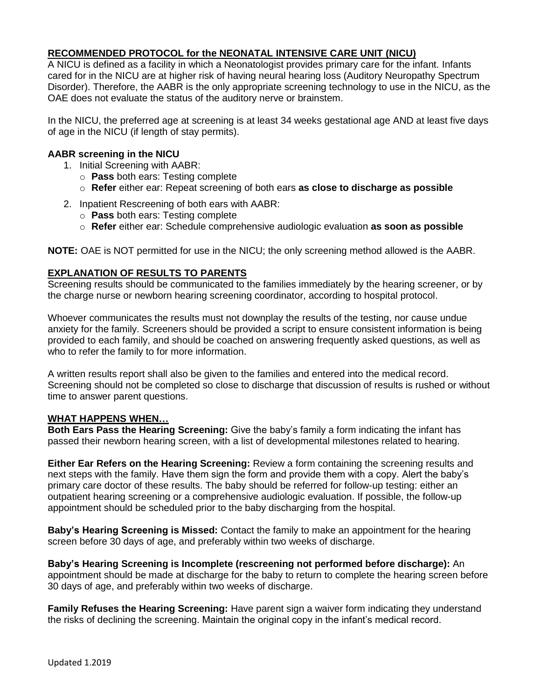## **RECOMMENDED PROTOCOL for the NEONATAL INTENSIVE CARE UNIT (NICU)**

A NICU is defined as a facility in which a Neonatologist provides primary care for the infant. Infants cared for in the NICU are at higher risk of having neural hearing loss (Auditory Neuropathy Spectrum Disorder). Therefore, the AABR is the only appropriate screening technology to use in the NICU, as the OAE does not evaluate the status of the auditory nerve or brainstem.

In the NICU, the preferred age at screening is at least 34 weeks gestational age AND at least five days of age in the NICU (if length of stay permits).

#### **AABR screening in the NICU**

- 1. Initial Screening with AABR:
	- o **Pass** both ears: Testing complete
	- o **Refer** either ear: Repeat screening of both ears **as close to discharge as possible**
- 2. Inpatient Rescreening of both ears with AABR:
	- o **Pass** both ears: Testing complete
	- o **Refer** either ear: Schedule comprehensive audiologic evaluation **as soon as possible**

**NOTE:** OAE is NOT permitted for use in the NICU; the only screening method allowed is the AABR.

## **EXPLANATION OF RESULTS TO PARENTS**

Screening results should be communicated to the families immediately by the hearing screener, or by the charge nurse or newborn hearing screening coordinator, according to hospital protocol.

Whoever communicates the results must not downplay the results of the testing, nor cause undue anxiety for the family. Screeners should be provided a script to ensure consistent information is being provided to each family, and should be coached on answering frequently asked questions, as well as who to refer the family to for more information.

A written results report shall also be given to the families and entered into the medical record. Screening should not be completed so close to discharge that discussion of results is rushed or without time to answer parent questions.

#### **WHAT HAPPENS WHEN…**

**Both Ears Pass the Hearing Screening:** Give the baby's family a form indicating the infant has passed their newborn hearing screen, with a list of developmental milestones related to hearing.

**Either Ear Refers on the Hearing Screening:** Review a form containing the screening results and next steps with the family. Have them sign the form and provide them with a copy. Alert the baby's primary care doctor of these results. The baby should be referred for follow-up testing: either an outpatient hearing screening or a comprehensive audiologic evaluation. If possible, the follow-up appointment should be scheduled prior to the baby discharging from the hospital.

**Baby's Hearing Screening is Missed:** Contact the family to make an appointment for the hearing screen before 30 days of age, and preferably within two weeks of discharge.

**Baby's Hearing Screening is Incomplete (rescreening not performed before discharge):** An appointment should be made at discharge for the baby to return to complete the hearing screen before 30 days of age, and preferably within two weeks of discharge.

**Family Refuses the Hearing Screening:** Have parent sign a waiver form indicating they understand the risks of declining the screening. Maintain the original copy in the infant's medical record.